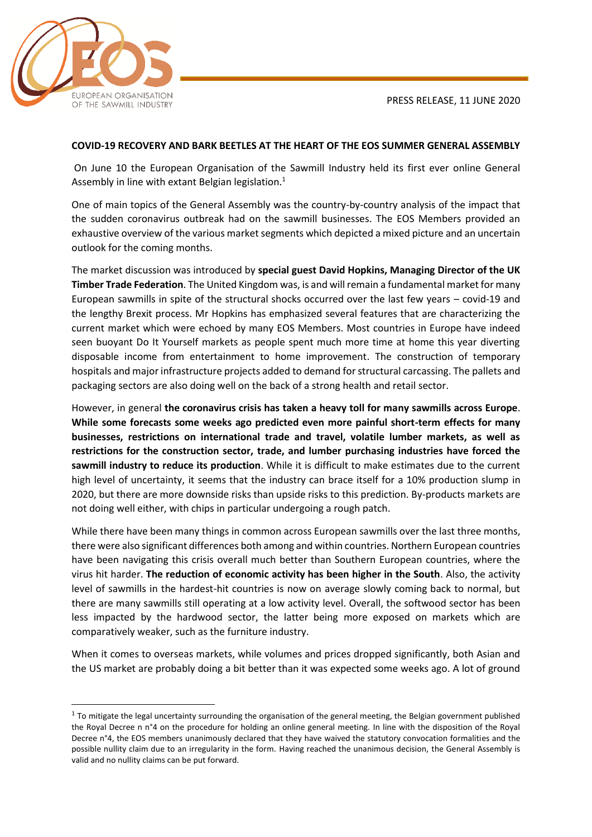PRESS RELEASE, 11 JUNE 2020



## **COVID-19 RECOVERY AND BARK BEETLES AT THE HEART OF THE EOS SUMMER GENERAL ASSEMBLY**

On June 10 the European Organisation of the Sawmill Industry held its first ever online General Assembly in line with extant Belgian legislation.<sup>1</sup>

One of main topics of the General Assembly was the country-by-country analysis of the impact that the sudden coronavirus outbreak had on the sawmill businesses. The EOS Members provided an exhaustive overview of the various market segments which depicted a mixed picture and an uncertain outlook for the coming months.

The market discussion was introduced by **special guest David Hopkins, Managing Director of the UK Timber Trade Federation**. The United Kingdom was, is and will remain a fundamental market for many European sawmills in spite of the structural shocks occurred over the last few years – covid-19 and the lengthy Brexit process. Mr Hopkins has emphasized several features that are characterizing the current market which were echoed by many EOS Members. Most countries in Europe have indeed seen buoyant Do It Yourself markets as people spent much more time at home this year diverting disposable income from entertainment to home improvement. The construction of temporary hospitals and major infrastructure projects added to demand for structural carcassing. The pallets and packaging sectors are also doing well on the back of a strong health and retail sector.

However, in general **the coronavirus crisis has taken a heavy toll for many sawmills across Europe**. **While some forecasts some weeks ago predicted even more painful short-term effects for many businesses, restrictions on international trade and travel, volatile lumber markets, as well as restrictions for the construction sector, trade, and lumber purchasing industries have forced the sawmill industry to reduce its production**. While it is difficult to make estimates due to the current high level of uncertainty, it seems that the industry can brace itself for a 10% production slump in 2020, but there are more downside risks than upside risks to this prediction. By-products markets are not doing well either, with chips in particular undergoing a rough patch.

While there have been many things in common across European sawmills over the last three months, there were also significant differences both among and within countries. Northern European countries have been navigating this crisis overall much better than Southern European countries, where the virus hit harder. **The reduction of economic activity has been higher in the South**. Also, the activity level of sawmills in the hardest-hit countries is now on average slowly coming back to normal, but there are many sawmills still operating at a low activity level. Overall, the softwood sector has been less impacted by the hardwood sector, the latter being more exposed on markets which are comparatively weaker, such as the furniture industry.

When it comes to overseas markets, while volumes and prices dropped significantly, both Asian and the US market are probably doing a bit better than it was expected some weeks ago. A lot of ground

 $1$  To mitigate the legal uncertainty surrounding the organisation of the general meeting, the Belgian government published the Royal Decree n n°4 on the procedure for holding an online general meeting. In line with the disposition of the Royal Decree n°4, the EOS members unanimously declared that they have waived the statutory convocation formalities and the possible nullity claim due to an irregularity in the form. Having reached the unanimous decision, the General Assembly is valid and no nullity claims can be put forward.